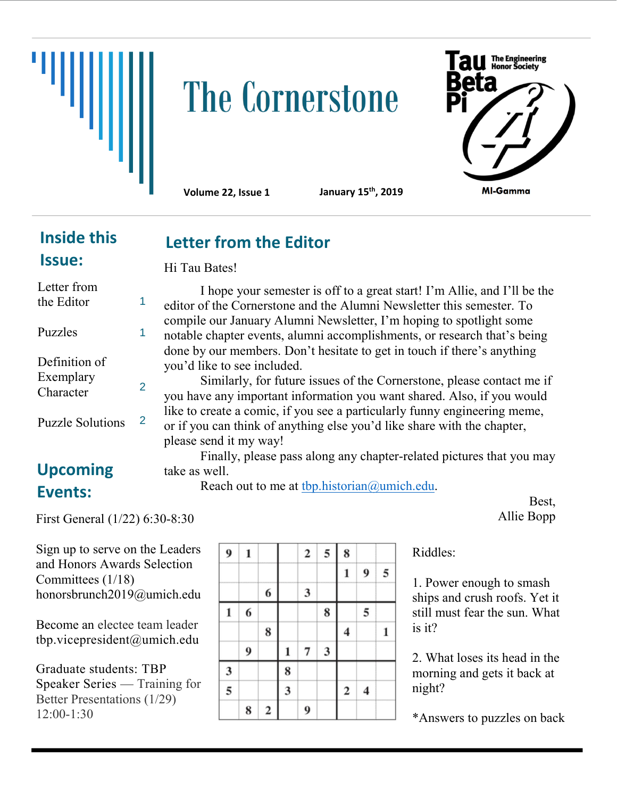## **The Cornerstone**



**Volume 22, Issue 1 January 15th, 2019**

**Letter from the Editor**

## **Inside this Issue:**

**Upcoming** 

Puzzle Solutions

**Events:**

Hi Tau Bates!

I hope your semester is off to a great start! I'm Allie, and I'll be the editor of the Cornerstone and the Alumni Newsletter this semester. To compile our January Alumni Newsletter, I'm hoping to spotlight some notable chapter events, alumni accomplishments, or research that's being done by our members. Don't hesitate to get in touch if there's anything you'd like to see included. Letter from the Editor Puzzles Definition of Exemplary Character 1 1 2

Similarly, for future issues of the Cornerstone, please contact me if you have any important information you want shared. Also, if you would like to create a comic, if you see a particularly funny engineering meme, or if you can think of anything else you'd like share with the chapter, please send it my way!

Finally, please pass along any chapter-related pictures that you may take as well.

Reach out to me at [tbp.historian@umich.edu.](mailto:tbp.historian@umich.edu)

Best, Allie Bopp

Sign up to serve on the Leaders and Honors Awards Selection

First General (1/22) 6:30-8:30

2

Committees (1/18) honorsbrunch2019@umich.edu

Become an electee team leader tbp.vicepresident@umich.edu

Graduate students: TBP Speaker Series — Training for Better Presentations (1/29) 12:00-1:30

| 9 | 1 |             |                         | $\boldsymbol{2}$ | 5 | 8                       |                         |   |
|---|---|-------------|-------------------------|------------------|---|-------------------------|-------------------------|---|
|   |   |             |                         |                  |   | $\mathbf{1}$            | 9                       | 5 |
|   |   | 6           |                         | 3                |   |                         |                         |   |
| 1 | 6 |             |                         |                  | 8 |                         | 5                       |   |
|   |   | 8           |                         |                  |   | $\overline{\mathbf{4}}$ |                         | 1 |
|   | 9 |             | 1                       | 7                | 3 |                         |                         |   |
| 3 |   |             | 8                       |                  |   |                         |                         |   |
| 5 |   |             | $\overline{\mathbf{3}}$ |                  |   | $\mathbf 2$             | $\overline{\mathbf{4}}$ |   |
|   | 8 | $\mathbf 2$ |                         | 9                |   |                         |                         |   |

Riddles:

1. Power enough to smash ships and crush roofs. Yet it still must fear the sun. What is it?

2. What loses its head in the morning and gets it back at night?

\*Answers to puzzles on back